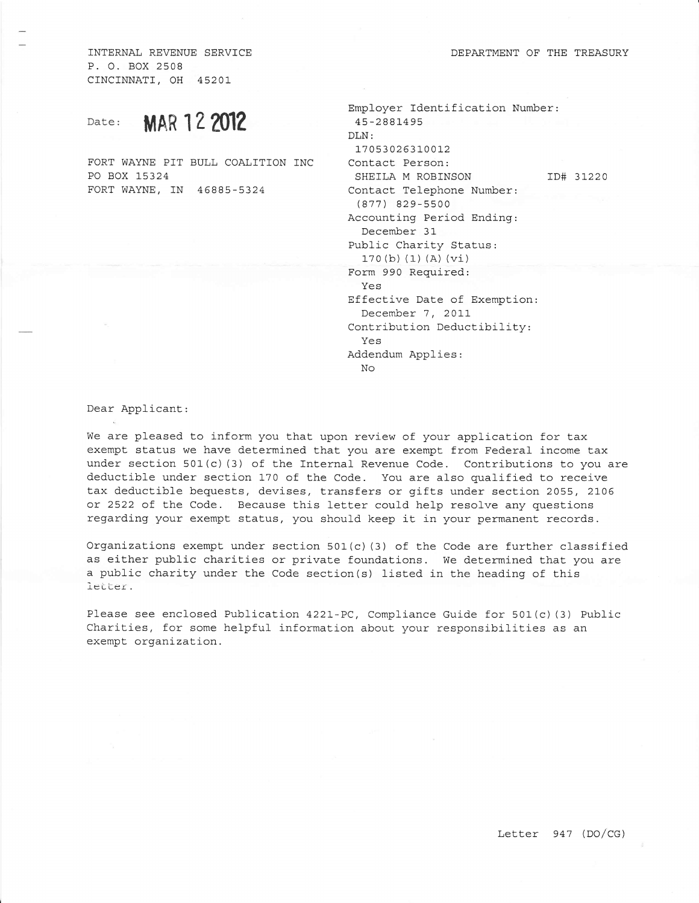INTERNAL REVENUE SERVICE P. O. BOX 2508 CTNCINNATI, OH 4520L

## Date: **MAR 12 2012**

FORT WAYNE PIT BULL COALITION INC PO BOX L5324 FORT WAYNE, IN 46885-5324

| Employer Identification Number:<br>45-2881495 |           |
|-----------------------------------------------|-----------|
| DLN:                                          |           |
| 17053026310012                                |           |
| Contact Person:                               |           |
| SHEILA M ROBINSON                             | ID# 31220 |
| Contact Telephone Number:                     |           |
| $(877)$ 829-5500                              |           |
| Accounting Period Ending:                     |           |
| December 31                                   |           |
| Public Charity Status:                        |           |
| 170(b)(1)(A)(vi)                              |           |
| Form 990 Required:                            |           |
| Yes                                           |           |
| Effective Date of Exemption:                  |           |
| December 7, 2011                              |           |
| Contribution Deductibility:                   |           |
| Yes                                           |           |
| Addendum Applies:                             |           |
| No                                            |           |
|                                               |           |

Dear Applicant:

We are pleased to inform you that upon review of your application for tax exempt status we have determined that you are exempt from Federal income tax under section  $501(c)$  (3) of the Internal Revenue Code. Contributions to you are deductible under section 170 of the Code. You are also qualified to receive tax deductible bequests, devises, transfers or gifts under section 2055, 2106 or 2522 of the Code. Because this letter could help resolve any questions regarding your exempt status, you should keep it in your permanent records.

Organizations exempt under section 501(c) (3) of the Code are further classified as either public charities or private foundations. We determined that you are a public charity under the Code section(s) listed in the heading of this letter.

Please see enclosed Publication 4221-PC, Compliance Guide for 501(c) (3) Public Charities, for some helpful information about your responsibilities as an exempt. organization.